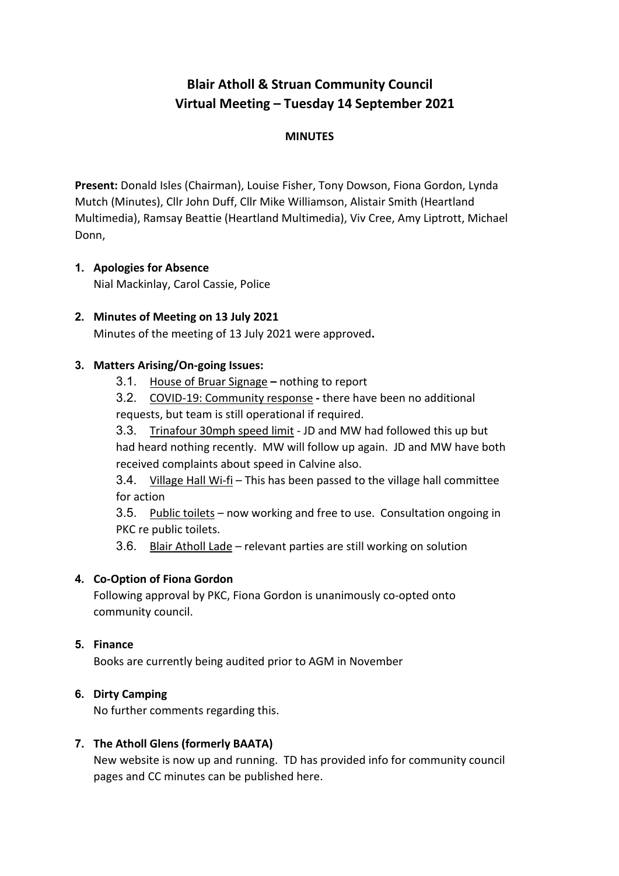# **Blair Atholl & Struan Community Council Virtual Meeting – Tuesday 14 September 2021**

# **MINUTES**

**Present:** Donald Isles (Chairman), Louise Fisher, Tony Dowson, Fiona Gordon, Lynda Mutch (Minutes), Cllr John Duff, Cllr Mike Williamson, Alistair Smith (Heartland Multimedia), Ramsay Beattie (Heartland Multimedia), Viv Cree, Amy Liptrott, Michael Donn,

# **1. Apologies for Absence**

Nial Mackinlay, Carol Cassie, Police

# **2. Minutes of Meeting on 13 July 2021**

Minutes of the meeting of 13 July 2021 were approved**.**

## **3. Matters Arising/On-going Issues:**

3.1. House of Bruar Signage **–** nothing to report

3.2. COVID-19: Community response **-** there have been no additional requests, but team is still operational if required.

3.3. Trinafour 30mph speed limit - JD and MW had followed this up but had heard nothing recently. MW will follow up again. JD and MW have both received complaints about speed in Calvine also.

3.4. Village Hall Wi-fi – This has been passed to the village hall committee for action

3.5. Public toilets – now working and free to use. Consultation ongoing in PKC re public toilets.

3.6. Blair Atholl Lade – relevant parties are still working on solution

# **4. Co-Option of Fiona Gordon**

Following approval by PKC, Fiona Gordon is unanimously co-opted onto community council.

#### **5. Finance**

Books are currently being audited prior to AGM in November

#### **6. Dirty Camping**

No further comments regarding this.

# **7. The Atholl Glens (formerly BAATA)**

New website is now up and running. TD has provided info for community council pages and CC minutes can be published here.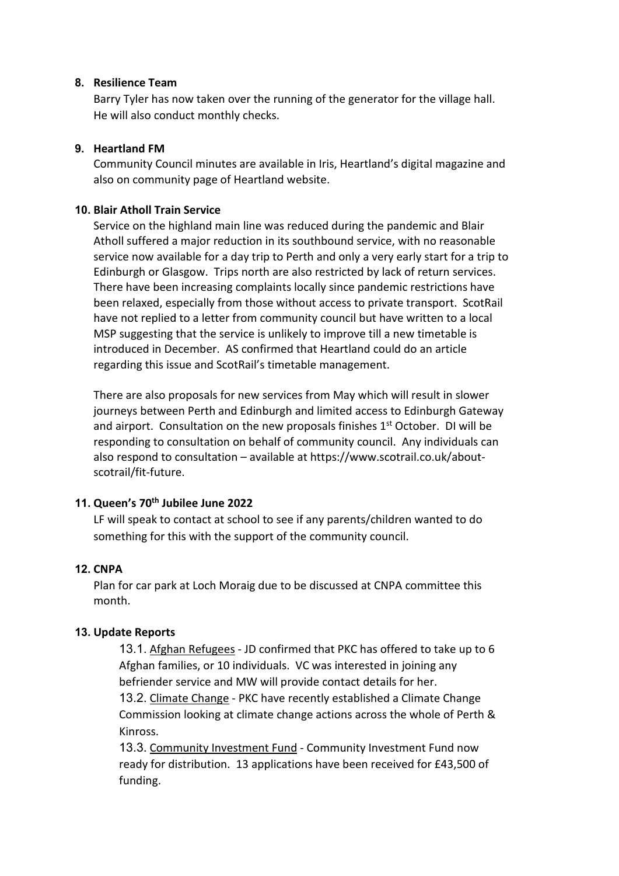#### **8. Resilience Team**

Barry Tyler has now taken over the running of the generator for the village hall. He will also conduct monthly checks.

## **9. Heartland FM**

Community Council minutes are available in Iris, Heartland's digital magazine and also on community page of Heartland website.

#### **10. Blair Atholl Train Service**

Service on the highland main line was reduced during the pandemic and Blair Atholl suffered a major reduction in its southbound service, with no reasonable service now available for a day trip to Perth and only a very early start for a trip to Edinburgh or Glasgow. Trips north are also restricted by lack of return services. There have been increasing complaints locally since pandemic restrictions have been relaxed, especially from those without access to private transport. ScotRail have not replied to a letter from community council but have written to a local MSP suggesting that the service is unlikely to improve till a new timetable is introduced in December. AS confirmed that Heartland could do an article regarding this issue and ScotRail's timetable management.

There are also proposals for new services from May which will result in slower journeys between Perth and Edinburgh and limited access to Edinburgh Gateway and airport. Consultation on the new proposals finishes 1<sup>st</sup> October. DI will be responding to consultation on behalf of community council. Any individuals can also respond to consultation – available at https://www.scotrail.co.uk/aboutscotrail/fit-future.

# **11. Queen's 70th Jubilee June 2022**

LF will speak to contact at school to see if any parents/children wanted to do something for this with the support of the community council.

# **12. CNPA**

Plan for car park at Loch Moraig due to be discussed at CNPA committee this month.

#### **13. Update Reports**

13.1. Afghan Refugees - JD confirmed that PKC has offered to take up to 6 Afghan families, or 10 individuals. VC was interested in joining any befriender service and MW will provide contact details for her. 13.2. Climate Change - PKC have recently established a Climate Change Commission looking at climate change actions across the whole of Perth &

Kinross.

13.3. Community Investment Fund - Community Investment Fund now ready for distribution. 13 applications have been received for £43,500 of funding.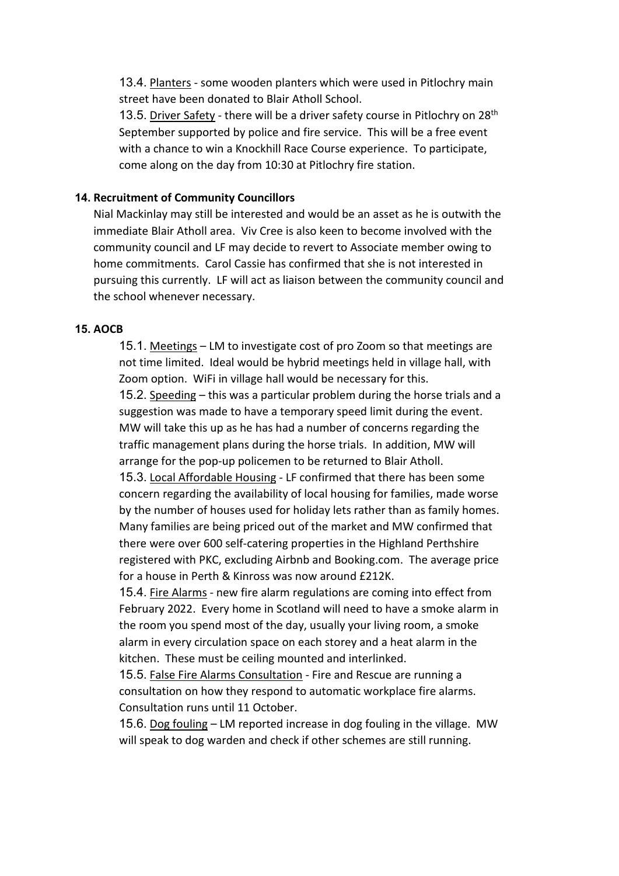13.4. Planters - some wooden planters which were used in Pitlochry main street have been donated to Blair Atholl School.

13.5. Driver Safety - there will be a driver safety course in Pitlochry on 28<sup>th</sup> September supported by police and fire service. This will be a free event with a chance to win a Knockhill Race Course experience. To participate, come along on the day from 10:30 at Pitlochry fire station.

#### **14. Recruitment of Community Councillors**

Nial Mackinlay may still be interested and would be an asset as he is outwith the immediate Blair Atholl area. Viv Cree is also keen to become involved with the community council and LF may decide to revert to Associate member owing to home commitments. Carol Cassie has confirmed that she is not interested in pursuing this currently. LF will act as liaison between the community council and the school whenever necessary.

#### **15. AOCB**

15.1. Meetings – LM to investigate cost of pro Zoom so that meetings are not time limited. Ideal would be hybrid meetings held in village hall, with Zoom option. WiFi in village hall would be necessary for this.

15.2. Speeding – this was a particular problem during the horse trials and a suggestion was made to have a temporary speed limit during the event. MW will take this up as he has had a number of concerns regarding the traffic management plans during the horse trials. In addition, MW will arrange for the pop-up policemen to be returned to Blair Atholl.

15.3. Local Affordable Housing - LF confirmed that there has been some concern regarding the availability of local housing for families, made worse by the number of houses used for holiday lets rather than as family homes. Many families are being priced out of the market and MW confirmed that there were over 600 self-catering properties in the Highland Perthshire registered with PKC, excluding Airbnb and Booking.com. The average price for a house in Perth & Kinross was now around £212K.

15.4. Fire Alarms - new fire alarm regulations are coming into effect from February 2022. Every home in Scotland will need to have a smoke alarm in the room you spend most of the day, usually your living room, a smoke alarm in every circulation space on each storey and a heat alarm in the kitchen. These must be ceiling mounted and interlinked.

15.5. False Fire Alarms Consultation - Fire and Rescue are running a consultation on how they respond to automatic workplace fire alarms. Consultation runs until 11 October.

15.6. Dog fouling – LM reported increase in dog fouling in the village. MW will speak to dog warden and check if other schemes are still running.